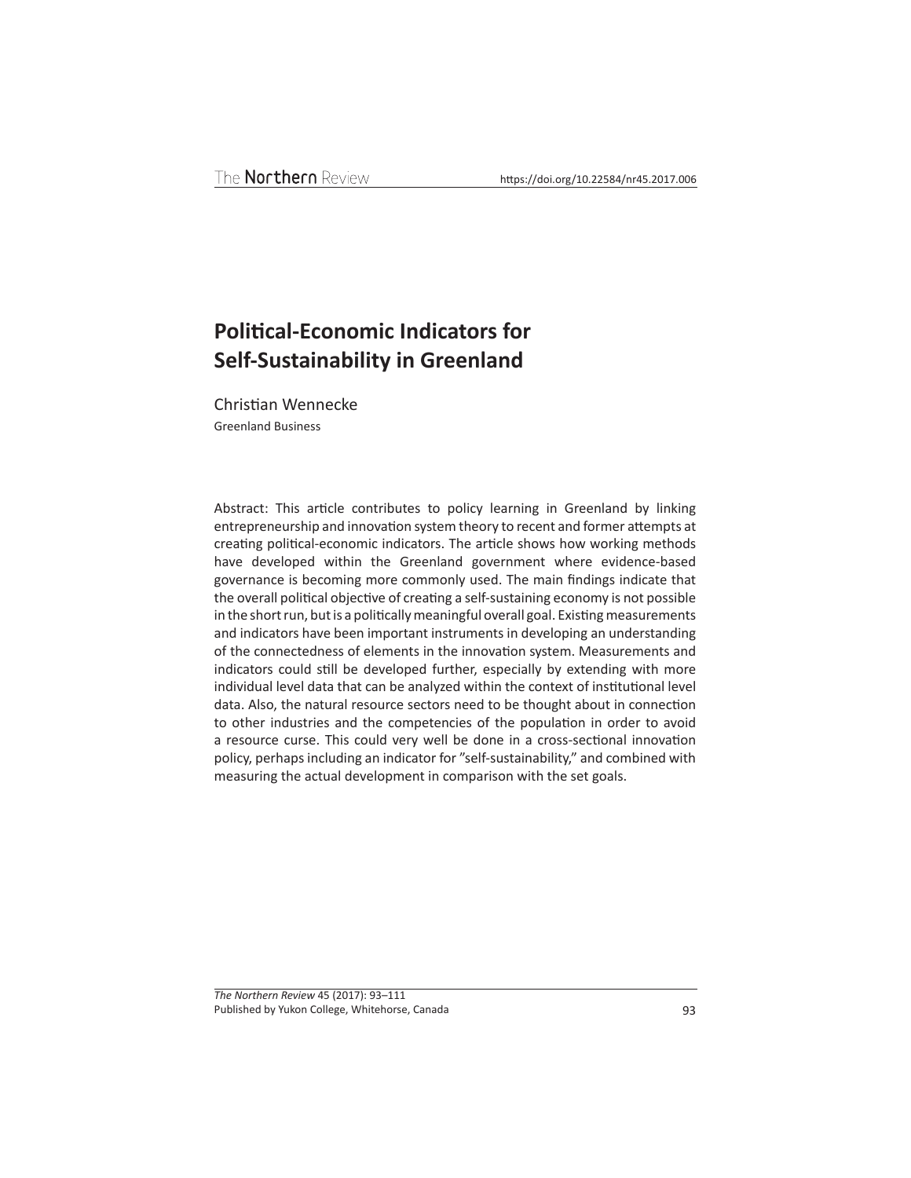# **Political-Economic Indicators for Self-Sustainability in Greenland**

Christian Wennecke Greenland Business

Abstract: This article contributes to policy learning in Greenland by linking entrepreneurship and innovation system theory to recent and former attempts at creating political-economic indicators. The article shows how working methods have developed within the Greenland government where evidence-based governance is becoming more commonly used. The main findings indicate that the overall political objective of creating a self-sustaining economy is not possible in the short run, but is a politically meaningful overall goal. Existing measurements and indicators have been important instruments in developing an understanding of the connectedness of elements in the innovation system. Measurements and indicators could still be developed further, especially by extending with more individual level data that can be analyzed within the context of institutional level data. Also, the natural resource sectors need to be thought about in connection to other industries and the competencies of the population in order to avoid a resource curse. This could very well be done in a cross-sectional innovation policy, perhaps including an indicator for "self-sustainability," and combined with measuring the actual development in comparison with the set goals.

*The Northern Review* 45 (2017): 93–111 Published by Yukon College, Whitehorse, Canada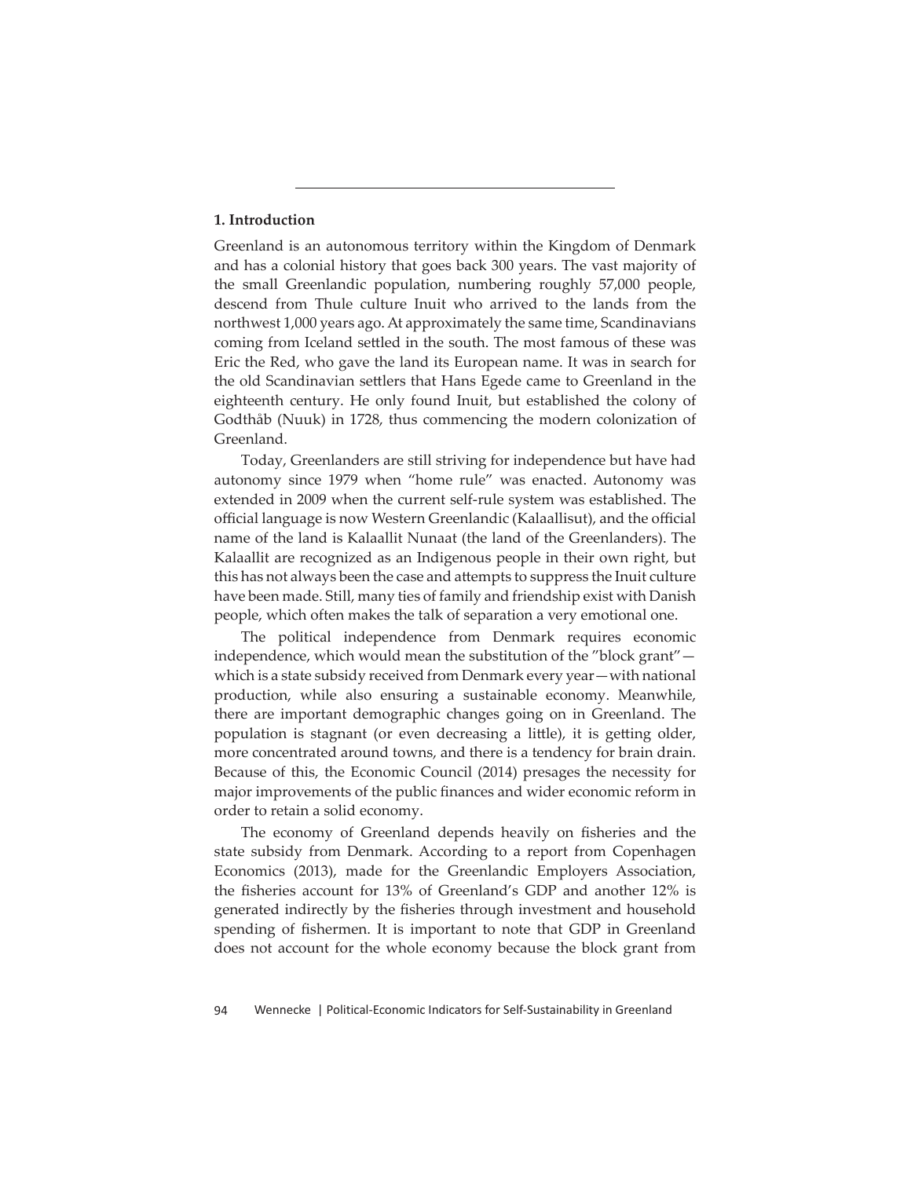# **1. Introduction**

Greenland is an autonomous territory within the Kingdom of Denmark and has a colonial history that goes back 300 years. The vast majority of the small Greenlandic population, numbering roughly 57,000 people, descend from Thule culture Inuit who arrived to the lands from the northwest 1,000 years ago. At approximately the same time, Scandinavians coming from Iceland settled in the south. The most famous of these was Eric the Red, who gave the land its European name. It was in search for the old Scandinavian settlers that Hans Egede came to Greenland in the eighteenth century. He only found Inuit, but established the colony of Godthåb (Nuuk) in 1728, thus commencing the modern colonization of Greenland.

Today, Greenlanders are still striving for independence but have had autonomy since 1979 when "home rule" was enacted. Autonomy was extended in 2009 when the current self-rule system was established. The official language is now Western Greenlandic (Kalaallisut), and the official name of the land is Kalaallit Nunaat (the land of the Greenlanders). The Kalaallit are recognized as an Indigenous people in their own right, but this has not always been the case and attempts to suppress the Inuit culture have been made. Still, many ties of family and friendship exist with Danish people, which often makes the talk of separation a very emotional one.

The political independence from Denmark requires economic independence, which would mean the substitution of the "block grant" which is a state subsidy received from Denmark every year—with national production, while also ensuring a sustainable economy. Meanwhile, there are important demographic changes going on in Greenland. The population is stagnant (or even decreasing a little), it is getting older, more concentrated around towns, and there is a tendency for brain drain. Because of this, the Economic Council (2014) presages the necessity for major improvements of the public finances and wider economic reform in order to retain a solid economy.

The economy of Greenland depends heavily on fisheries and the state subsidy from Denmark. According to a report from Copenhagen Economics (2013), made for the Greenlandic Employers Association, the fisheries account for 13% of Greenland's GDP and another 12% is generated indirectly by the fisheries through investment and household spending of fishermen. It is important to note that GDP in Greenland does not account for the whole economy because the block grant from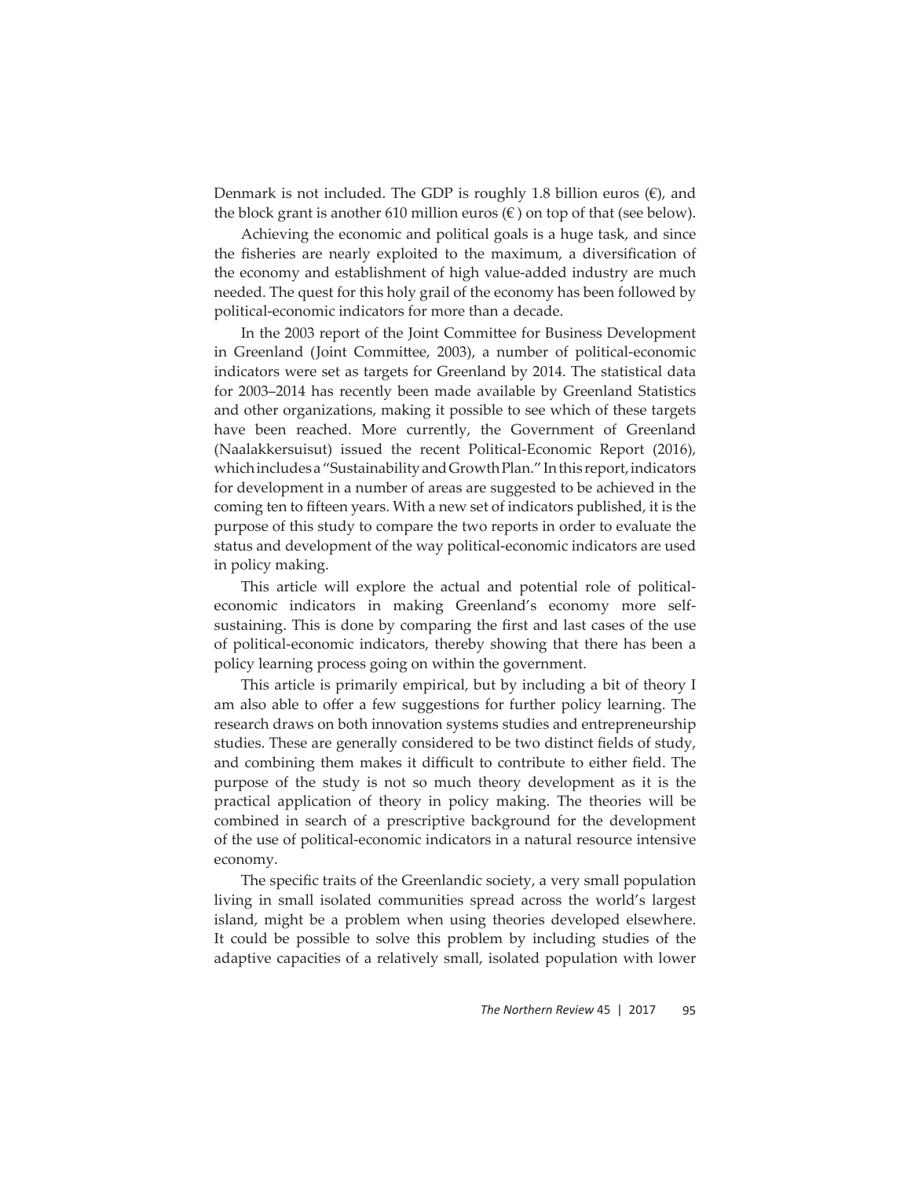Denmark is not included. The GDP is roughly 1.8 billion euros  $(\epsilon)$ , and the block grant is another 610 million euros  $(\epsilon)$  on top of that (see below).

Achieving the economic and political goals is a huge task, and since the fisheries are nearly exploited to the maximum, a diversification of the economy and establishment of high value-added industry are much needed. The quest for this holy grail of the economy has been followed by political-economic indicators for more than a decade.

In the 2003 report of the Joint Committee for Business Development in Greenland (Joint Committee, 2003), a number of political-economic indicators were set as targets for Greenland by 2014. The statistical data for 2003–2014 has recently been made available by Greenland Statistics and other organizations, making it possible to see which of these targets have been reached. More currently, the Government of Greenland (Naalakkersuisut) issued the recent Political-Economic Report (2016), which includes a "Sustainability and Growth Plan." In this report, indicators for development in a number of areas are suggested to be achieved in the coming ten to fifteen years. With a new set of indicators published, it is the purpose of this study to compare the two reports in order to evaluate the status and development of the way political-economic indicators are used in policy making.

This article will explore the actual and potential role of politicaleconomic indicators in making Greenland's economy more selfsustaining. This is done by comparing the first and last cases of the use of political-economic indicators, thereby showing that there has been a policy learning process going on within the government.

This article is primarily empirical, but by including a bit of theory I am also able to offer a few suggestions for further policy learning. The research draws on both innovation systems studies and entrepreneurship studies. These are generally considered to be two distinct fields of study, and combining them makes it difficult to contribute to either field. The purpose of the study is not so much theory development as it is the practical application of theory in policy making. The theories will be combined in search of a prescriptive background for the development of the use of political-economic indicators in a natural resource intensive economy.

The specific traits of the Greenlandic society, a very small population living in small isolated communities spread across the world's largest island, might be a problem when using theories developed elsewhere. It could be possible to solve this problem by including studies of the adaptive capacities of a relatively small, isolated population with lower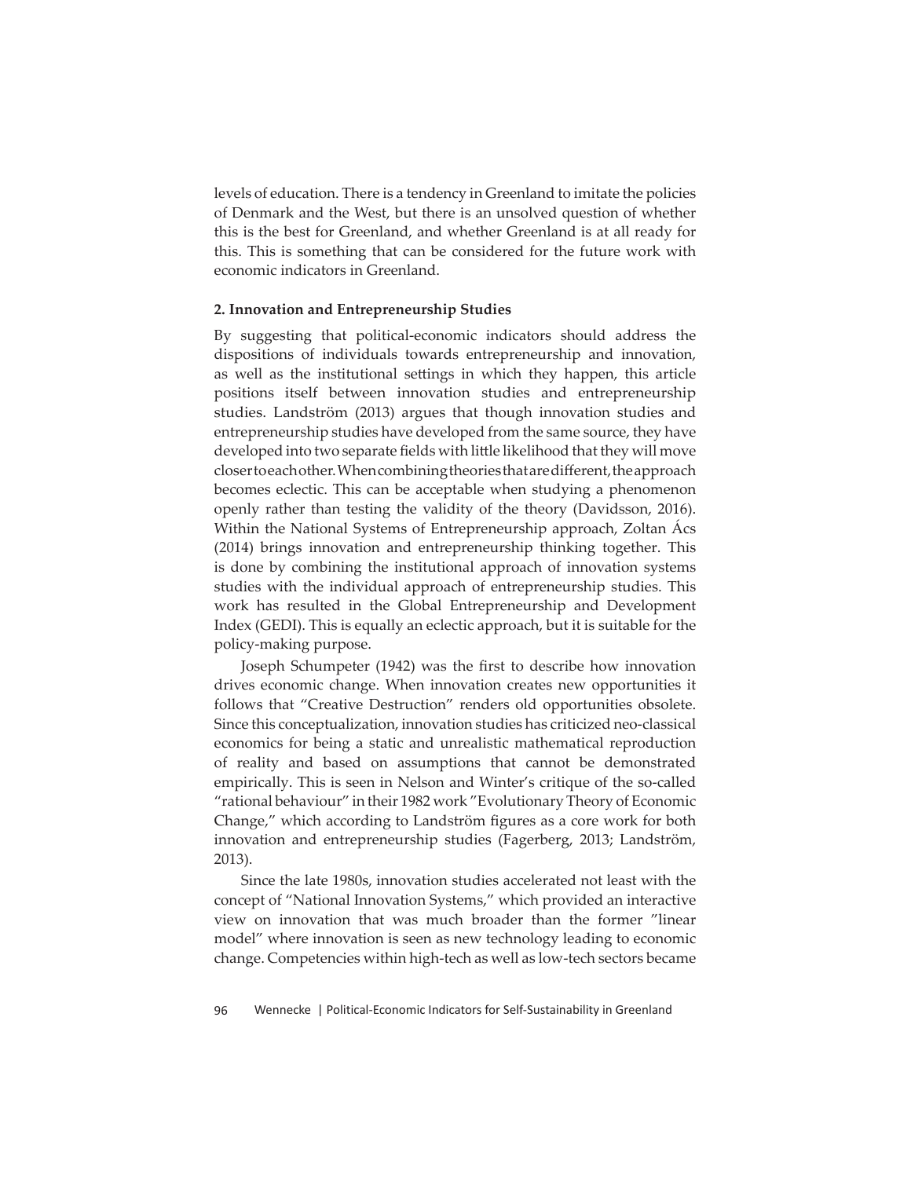levels of education. There is a tendency in Greenland to imitate the policies of Denmark and the West, but there is an unsolved question of whether this is the best for Greenland, and whether Greenland is at all ready for this. This is something that can be considered for the future work with economic indicators in Greenland.

## **2. Innovation and Entrepreneurship Studies**

By suggesting that political-economic indicators should address the dispositions of individuals towards entrepreneurship and innovation, as well as the institutional settings in which they happen, this article positions itself between innovation studies and entrepreneurship studies. Landström (2013) argues that though innovation studies and entrepreneurship studies have developed from the same source, they have developed into two separate fields with little likelihood that they will move closer to each other. When combining theories that are different, the approach becomes eclectic. This can be acceptable when studying a phenomenon openly rather than testing the validity of the theory (Davidsson, 2016). Within the National Systems of Entrepreneurship approach, Zoltan Acs (2014) brings innovation and entrepreneurship thinking together. This is done by combining the institutional approach of innovation systems studies with the individual approach of entrepreneurship studies. This work has resulted in the Global Entrepreneurship and Development Index (GEDI). This is equally an eclectic approach, but it is suitable for the policy-making purpose.

Joseph Schumpeter (1942) was the first to describe how innovation drives economic change. When innovation creates new opportunities it follows that "Creative Destruction" renders old opportunities obsolete. Since this conceptualization, innovation studies has criticized neo-classical economics for being a static and unrealistic mathematical reproduction of reality and based on assumptions that cannot be demonstrated empirically. This is seen in Nelson and Winter's critique of the so-called "rational behaviour" in their 1982 work "Evolutionary Theory of Economic Change," which according to Landström figures as a core work for both innovation and entrepreneurship studies (Fagerberg, 2013; Landström, 2013).

Since the late 1980s, innovation studies accelerated not least with the concept of "National Innovation Systems," which provided an interactive view on innovation that was much broader than the former "linear model" where innovation is seen as new technology leading to economic change. Competencies within high-tech as well as low-tech sectors became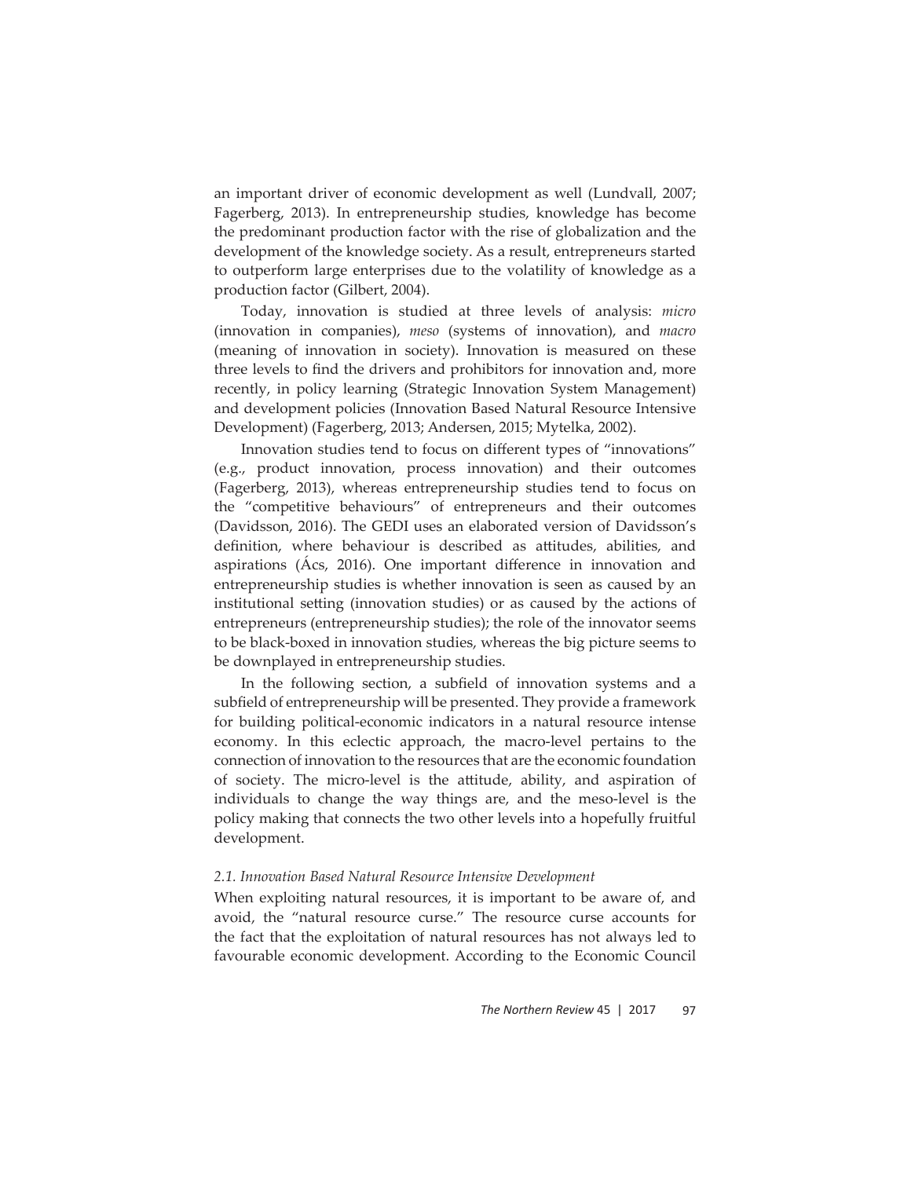an important driver of economic development as well (Lundvall, 2007; Fagerberg, 2013). In entrepreneurship studies, knowledge has become the predominant production factor with the rise of globalization and the development of the knowledge society. As a result, entrepreneurs started to outperform large enterprises due to the volatility of knowledge as a production factor (Gilbert, 2004).

Today, innovation is studied at three levels of analysis: *micro* (innovation in companies), *meso* (systems of innovation), and *macro* (meaning of innovation in society). Innovation is measured on these three levels to find the drivers and prohibitors for innovation and, more recently, in policy learning (Strategic Innovation System Management) and development policies (Innovation Based Natural Resource Intensive Development) (Fagerberg, 2013; Andersen, 2015; Mytelka, 2002).

Innovation studies tend to focus on different types of "innovations" (e.g., product innovation, process innovation) and their outcomes (Fagerberg, 2013), whereas entrepreneurship studies tend to focus on the "competitive behaviours" of entrepreneurs and their outcomes (Davidsson, 2016). The GEDI uses an elaborated version of Davidsson's definition, where behaviour is described as attitudes, abilities, and aspirations (Acs, 2016). One important difference in innovation and entrepreneurship studies is whether innovation is seen as caused by an institutional setting (innovation studies) or as caused by the actions of entrepreneurs (entrepreneurship studies); the role of the innovator seems to be black-boxed in innovation studies, whereas the big picture seems to be downplayed in entrepreneurship studies.

In the following section, a subfield of innovation systems and a subfield of entrepreneurship will be presented. They provide a framework for building political-economic indicators in a natural resource intense economy. In this eclectic approach, the macro-level pertains to the connection of innovation to the resources that are the economic foundation of society. The micro-level is the att itude, ability, and aspiration of individuals to change the way things are, and the meso-level is the policy making that connects the two other levels into a hopefully fruitful development.

#### *2.1. Innovation Based Natural Resource Intensive Development*

When exploiting natural resources, it is important to be aware of, and avoid, the "natural resource curse." The resource curse accounts for the fact that the exploitation of natural resources has not always led to favourable economic development. According to the Economic Council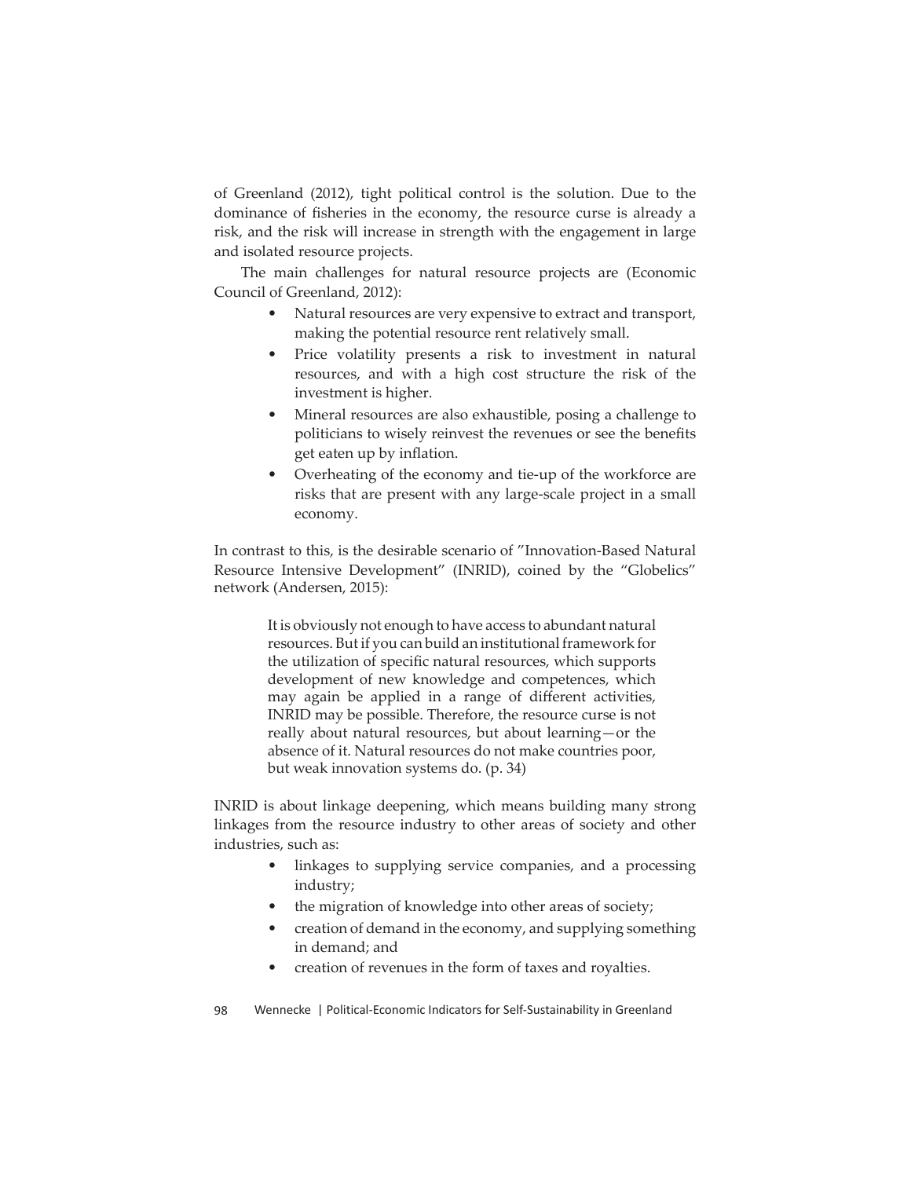of Greenland (2012), tight political control is the solution. Due to the dominance of fisheries in the economy, the resource curse is already a risk, and the risk will increase in strength with the engagement in large and isolated resource projects.

The main challenges for natural resource projects are (Economic Council of Greenland, 2012):

- Natural resources are very expensive to extract and transport, making the potential resource rent relatively small.
- Price volatility presents a risk to investment in natural resources, and with a high cost structure the risk of the investment is higher.
- Mineral resources are also exhaustible, posing a challenge to politicians to wisely reinvest the revenues or see the benefits get eaten up by inflation.
- Overheating of the economy and tie-up of the workforce are risks that are present with any large-scale project in a small economy.

In contrast to this, is the desirable scenario of "Innovation-Based Natural Resource Intensive Development" (INRID), coined by the "Globelics" network (Andersen, 2015):

> It is obviously not enough to have access to abundant natural resources. But if you can build an institutional framework for the utilization of specific natural resources, which supports development of new knowledge and competences, which may again be applied in a range of different activities, INRID may be possible. Therefore, the resource curse is not really about natural resources, but about learning—or the absence of it. Natural resources do not make countries poor, but weak innovation systems do. (p. 34)

INRID is about linkage deepening, which means building many strong linkages from the resource industry to other areas of society and other industries, such as:

- linkages to supplying service companies, and a processing industry;
- the migration of knowledge into other areas of society;
- creation of demand in the economy, and supplying something in demand; and
- creation of revenues in the form of taxes and royalties.
- 98 Wennecke | Political-Economic Indicators for Self-Sustainability in Greenland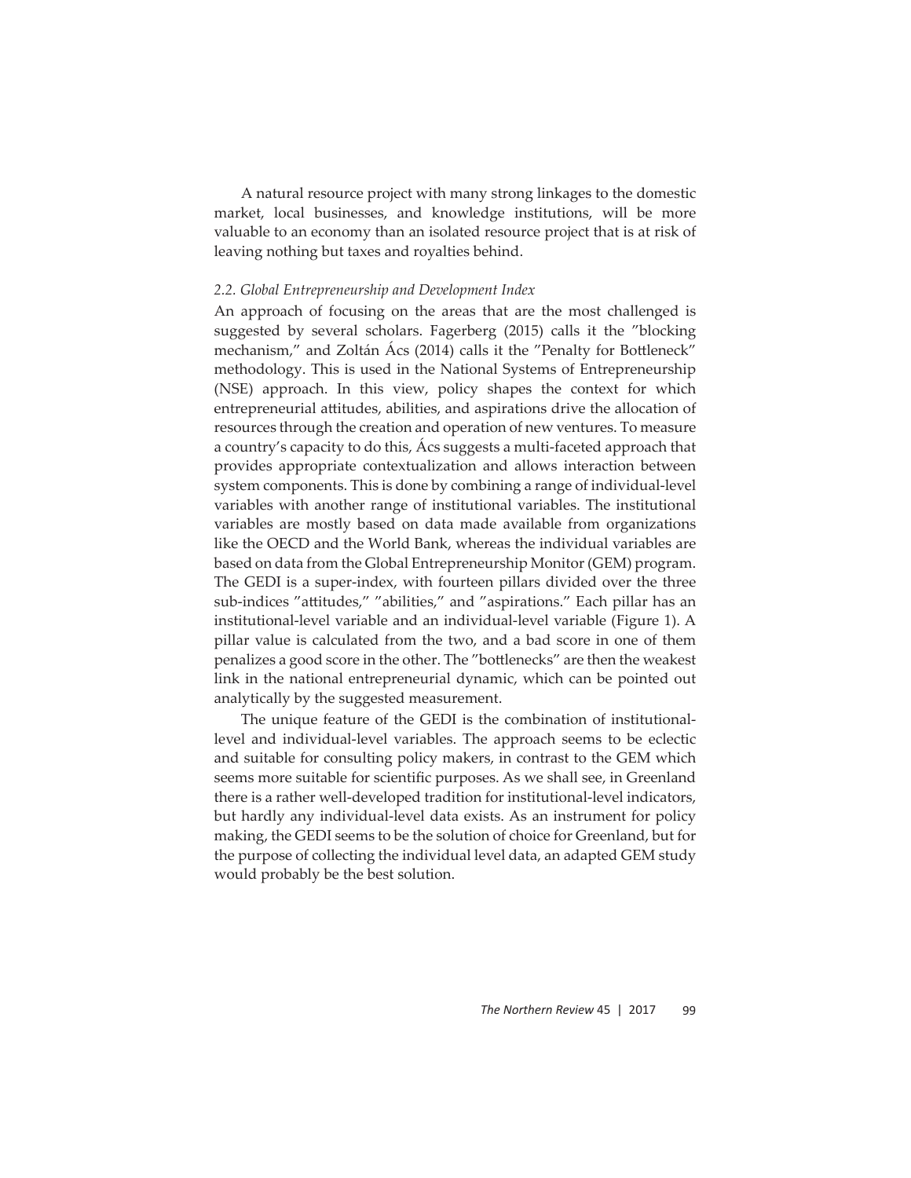A natural resource project with many strong linkages to the domestic market, local businesses, and knowledge institutions, will be more valuable to an economy than an isolated resource project that is at risk of leaving nothing but taxes and royalties behind.

#### *2.2. Global Entrepreneurship and Development Index*

An approach of focusing on the areas that are the most challenged is suggested by several scholars. Fagerberg (2015) calls it the "blocking mechanism," and Zoltán Ács (2014) calls it the "Penalty for Bottleneck" methodology. This is used in the National Systems of Entrepreneurship (NSE) approach. In this view, policy shapes the context for which entrepreneurial attitudes, abilities, and aspirations drive the allocation of resources through the creation and operation of new ventures. To measure a country's capacity to do this, Ács suggests a multi-faceted approach that provides appropriate contextualization and allows interaction between system components. This is done by combining a range of individual-level variables with another range of institutional variables. The institutional variables are mostly based on data made available from organizations like the OECD and the World Bank, whereas the individual variables are based on data from the Global Entrepreneurship Monitor (GEM) program. The GEDI is a super-index, with fourteen pillars divided over the three sub-indices "attitudes," "abilities," and "aspirations." Each pillar has an institutional-level variable and an individual-level variable (Figure 1). A pillar value is calculated from the two, and a bad score in one of them penalizes a good score in the other. The "bottlenecks" are then the weakest link in the national entrepreneurial dynamic, which can be pointed out analytically by the suggested measurement.

The unique feature of the GEDI is the combination of institutionallevel and individual-level variables. The approach seems to be eclectic and suitable for consulting policy makers, in contrast to the GEM which seems more suitable for scientific purposes. As we shall see, in Greenland there is a rather well-developed tradition for institutional-level indicators, but hardly any individual-level data exists. As an instrument for policy making, the GEDI seems to be the solution of choice for Greenland, but for the purpose of collecting the individual level data, an adapted GEM study would probably be the best solution.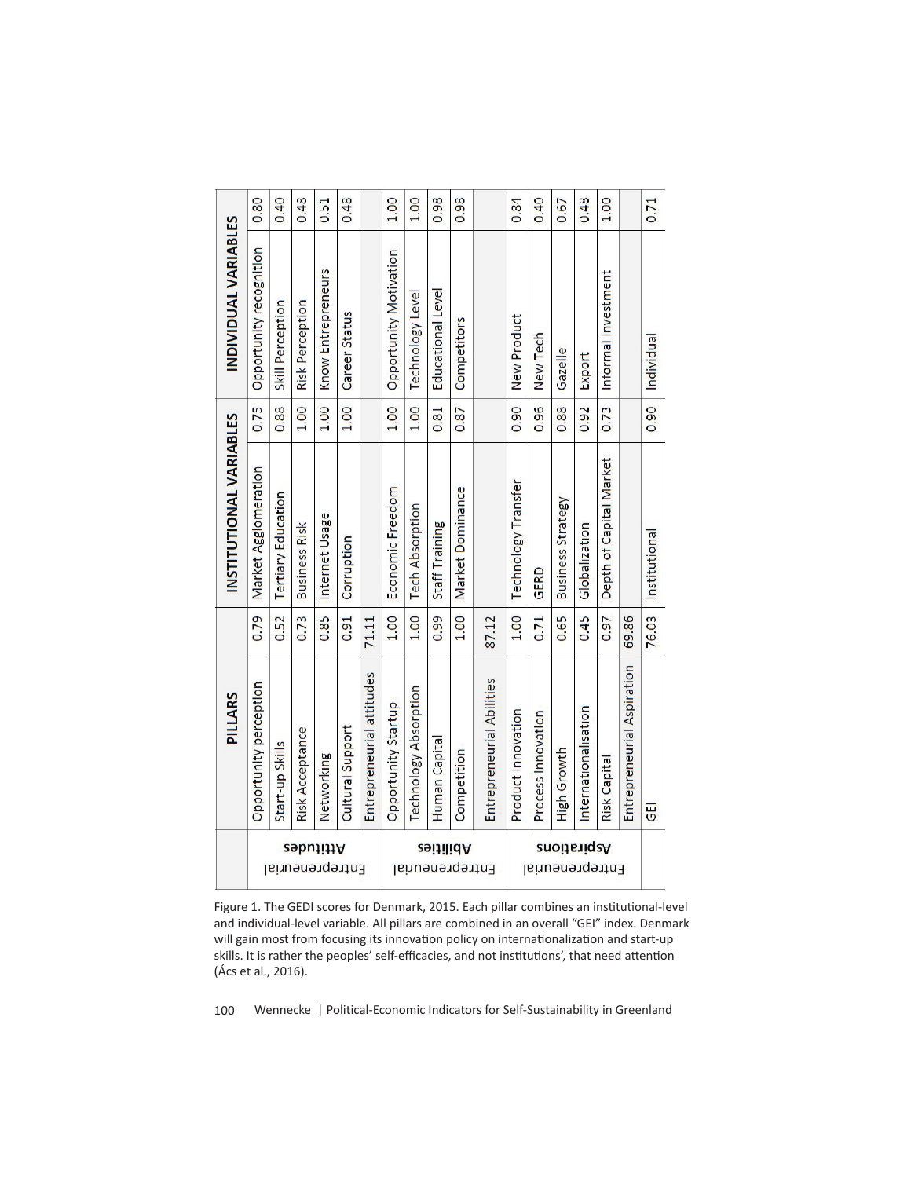|                                      | PILLARS                    |       | INSTITUTIONAL VARIABLES    |      | INDIVIDUAL VARIABLES     |      |
|--------------------------------------|----------------------------|-------|----------------------------|------|--------------------------|------|
|                                      | Opportunity perception     | 0.79  | Market Agglomeration       | 0.75 | Opportunity recognition  | 0.80 |
|                                      | Start-up Skills            | 0.52  | <b>Tertiary Education</b>  | 0.88 | Skill Perception         | 0.40 |
| Attitudes<br>Entrepreneurial         | <b>Risk Acceptance</b>     | 0.73  | <b>Business Risk</b>       | 1.00 | <b>Risk Perception</b>   | 0.48 |
|                                      | Networking                 | 0.85  | Internet Usage             | 1.00 | Know Entrepreneurs       | 0.51 |
|                                      | Cultural Support           | 0.91  | Corruption                 | 1.00 | <b>Career Status</b>     | 0.48 |
|                                      | Entrepreneurial attitudes  | 71.11 |                            |      |                          |      |
|                                      | Opportunity Startup        | 1.00  | Economic Freedom           | 1.00 | Opportunity Motivation   | 1.00 |
|                                      | Technology Absorption      | 1.00  | <b>Tech Absorption</b>     | 1.00 | Technology Level         | 1.00 |
|                                      | Human Capita               | 0.99  | Staff Training             | 0.81 | <b>Educational Level</b> | 0.98 |
| <u>zəitilid A</u><br>Entrepreneurial | Competition                | 1.00  | Market Dominance           | 0.87 | Competitors              | 0.98 |
|                                      | Entrepreneurial Abilities  | 87.12 |                            |      |                          |      |
|                                      | Product Innovation         | 1.00  | <b>Technology Transfer</b> | 0.90 | New Product              | 0.84 |
| Entrepreneurial                      | Process Innovation         | 0.71  | GERD                       | 0.96 | New Tech                 | 0.40 |
| 2noita iq 2A                         | High Growth                | 0.65  | Business Strategy          | 0.88 | Gazelle                  | 0.67 |
|                                      | Internationalisation       | 0.45  | Globalization              | 0.92 | Export                   | 0.48 |
|                                      | <b>Risk Capita</b>         | 0.97  | Depth of Capital Market    | 0.73 | Informal Investment      | 1.00 |
|                                      | Entrepreneurial Aspiration | 69.86 |                            |      |                          |      |
|                                      | $\overline{5}$             | 76.03 | Institutional              | 0.90 | Individual               | 0.71 |

Figure 1. The GEDI scores for Denmark, 2015. Each pillar combines an institutional-level and individual-level variable. All pillars are combined in an overall "GEI" index. Denmark will gain most from focusing its innovation policy on internationalization and start-up skills. It is rather the peoples' self-efficacies, and not institutions', that need attention (Ács et al., 2016).

100 Wennecke | Political-Economic Indicators for Self-Sustainability in Greenland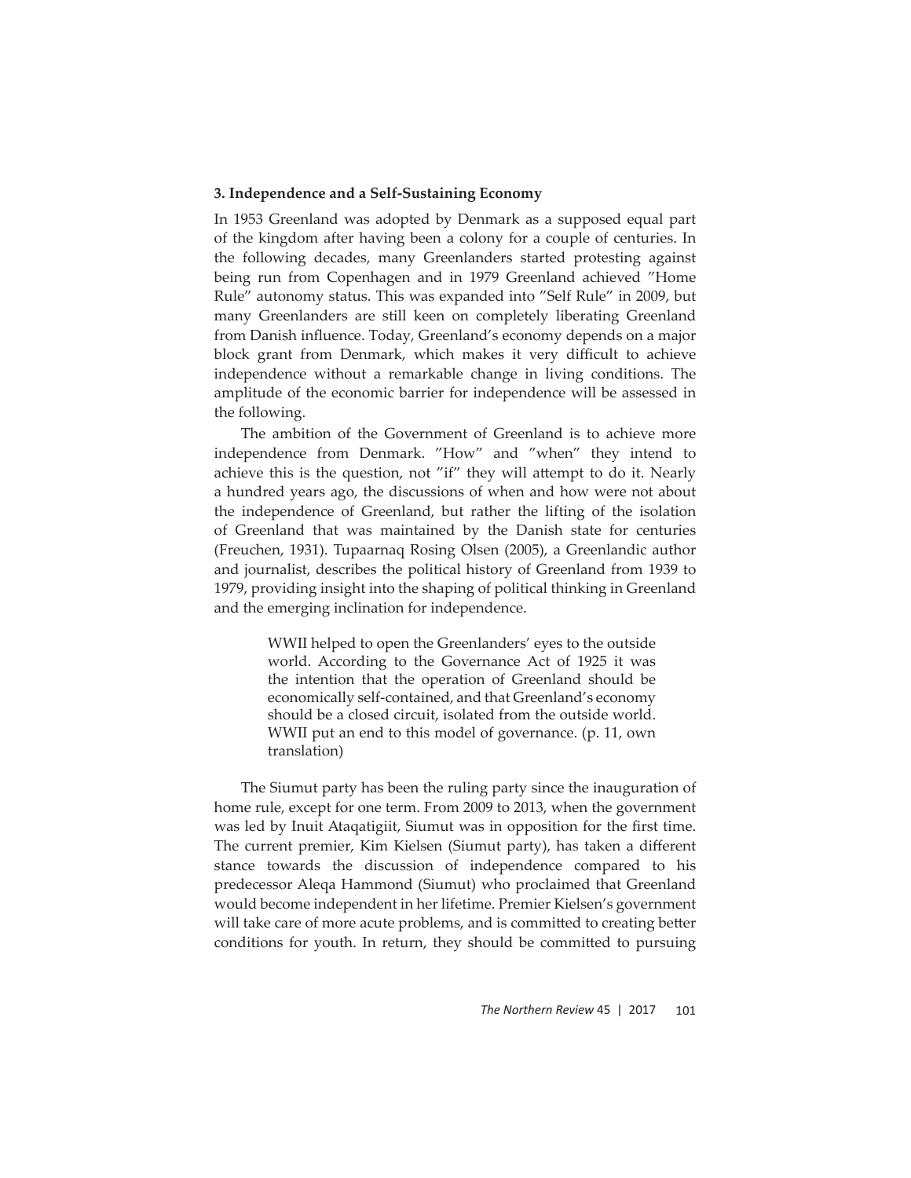# **3. Independence and a Self-Sustaining Economy**

In 1953 Greenland was adopted by Denmark as a supposed equal part of the kingdom after having been a colony for a couple of centuries. In the following decades, many Greenlanders started protesting against being run from Copenhagen and in 1979 Greenland achieved "Home Rule" autonomy status. This was expanded into "Self Rule" in 2009, but many Greenlanders are still keen on completely liberating Greenland from Danish influence. Today, Greenland's economy depends on a major block grant from Denmark, which makes it very difficult to achieve independence without a remarkable change in living conditions. The amplitude of the economic barrier for independence will be assessed in the following.

The ambition of the Government of Greenland is to achieve more independence from Denmark. "How" and "when" they intend to achieve this is the question, not "if" they will attempt to do it. Nearly a hundred years ago, the discussions of when and how were not about the independence of Greenland, but rather the lifting of the isolation of Greenland that was maintained by the Danish state for centuries (Freuchen, 1931). Tupaarnaq Rosing Olsen (2005), a Greenlandic author and journalist, describes the political history of Greenland from 1939 to 1979, providing insight into the shaping of political thinking in Greenland and the emerging inclination for independence.

> WWII helped to open the Greenlanders' eyes to the outside world. According to the Governance Act of 1925 it was the intention that the operation of Greenland should be economically self-contained, and that Greenland's economy should be a closed circuit, isolated from the outside world. WWII put an end to this model of governance. (p. 11, own translation)

The Siumut party has been the ruling party since the inauguration of home rule, except for one term. From 2009 to 2013, when the government was led by Inuit Ataqatigiit, Siumut was in opposition for the first time. The current premier, Kim Kielsen (Siumut party), has taken a different stance towards the discussion of independence compared to his predecessor Aleqa Hammond (Siumut) who proclaimed that Greenland would become independent in her lifetime. Premier Kielsen's government will take care of more acute problems, and is committed to creating better conditions for youth. In return, they should be committed to pursuing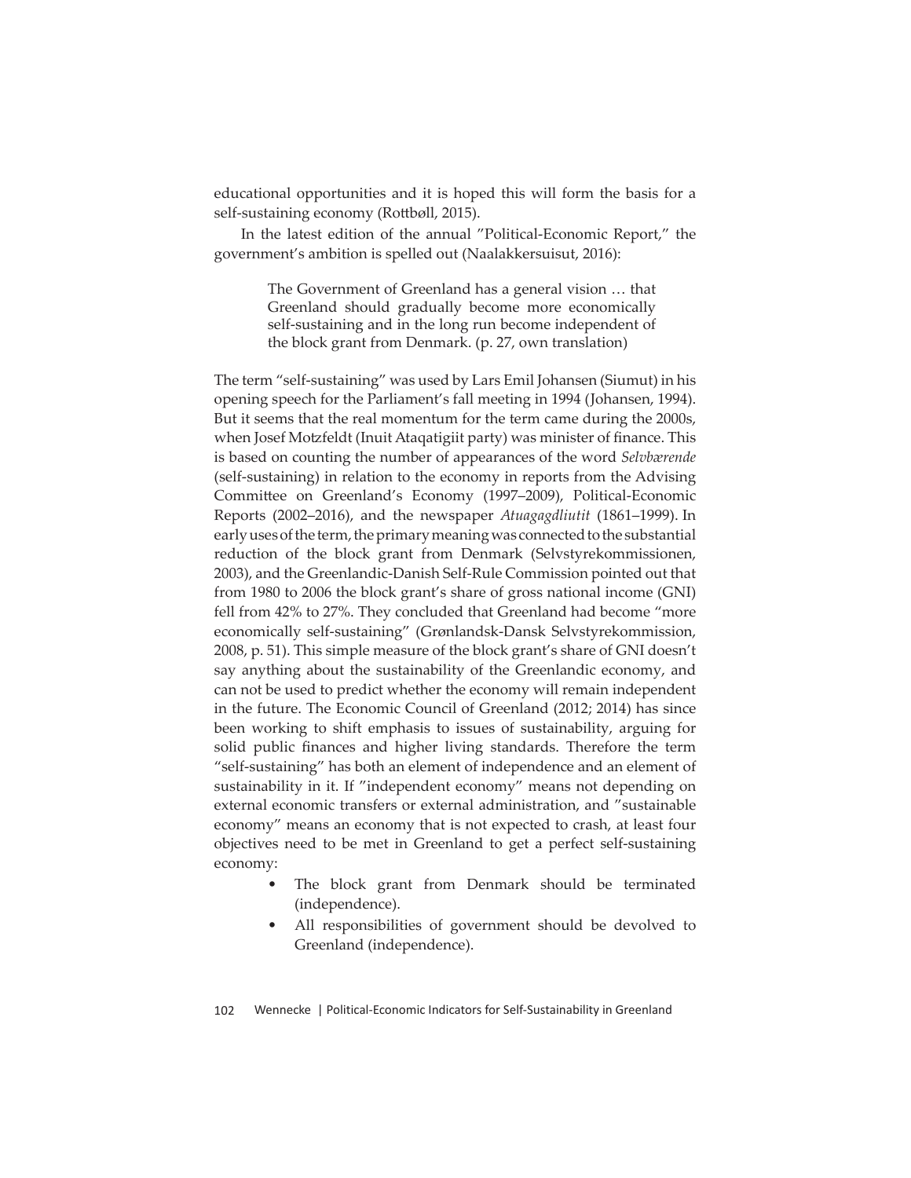educational opportunities and it is hoped this will form the basis for a self-sustaining economy (Rottbøll, 2015).

In the latest edition of the annual "Political-Economic Report," the government's ambition is spelled out (Naalakkersuisut, 2016):

> The Government of Greenland has a general vision … that Greenland should gradually become more economically self-sustaining and in the long run become independent of the block grant from Denmark. (p. 27, own translation)

The term "self-sustaining" was used by Lars Emil Johansen (Siumut) in his opening speech for the Parliament's fall meeting in 1994 (Johansen, 1994). But it seems that the real momentum for the term came during the 2000s, when Josef Motzfeldt (Inuit Ataqatigiit party) was minister of finance. This is based on counting the number of appearances of the word *Selvbærende* (self-sustaining) in relation to the economy in reports from the Advising Committee on Greenland's Economy (1997–2009), Political-Economic Reports (2002–2016), and the newspaper *Atuagagdliutit* (1861–1999). In early uses of the term, the primary meaning was connected to the substantial reduction of the block grant from Denmark (Selvstyrekommissionen, 2003), and the Greenlandic-Danish Self-Rule Commission pointed out that from 1980 to 2006 the block grant's share of gross national income (GNI) fell from 42% to 27%. They concluded that Greenland had become "more economically self-sustaining" (Grønlandsk-Dansk Selvstyrekommission, 2008, p. 51). This simple measure of the block grant's share of GNI doesn't say anything about the sustainability of the Greenlandic economy, and can not be used to predict whether the economy will remain independent in the future. The Economic Council of Greenland (2012; 2014) has since been working to shift emphasis to issues of sustainability, arguing for solid public finances and higher living standards. Therefore the term "self-sustaining" has both an element of independence and an element of sustainability in it. If "independent economy" means not depending on external economic transfers or external administration, and "sustainable economy" means an economy that is not expected to crash, at least four objectives need to be met in Greenland to get a perfect self-sustaining economy:

- The block grant from Denmark should be terminated (independence).
- All responsibilities of government should be devolved to Greenland (independence).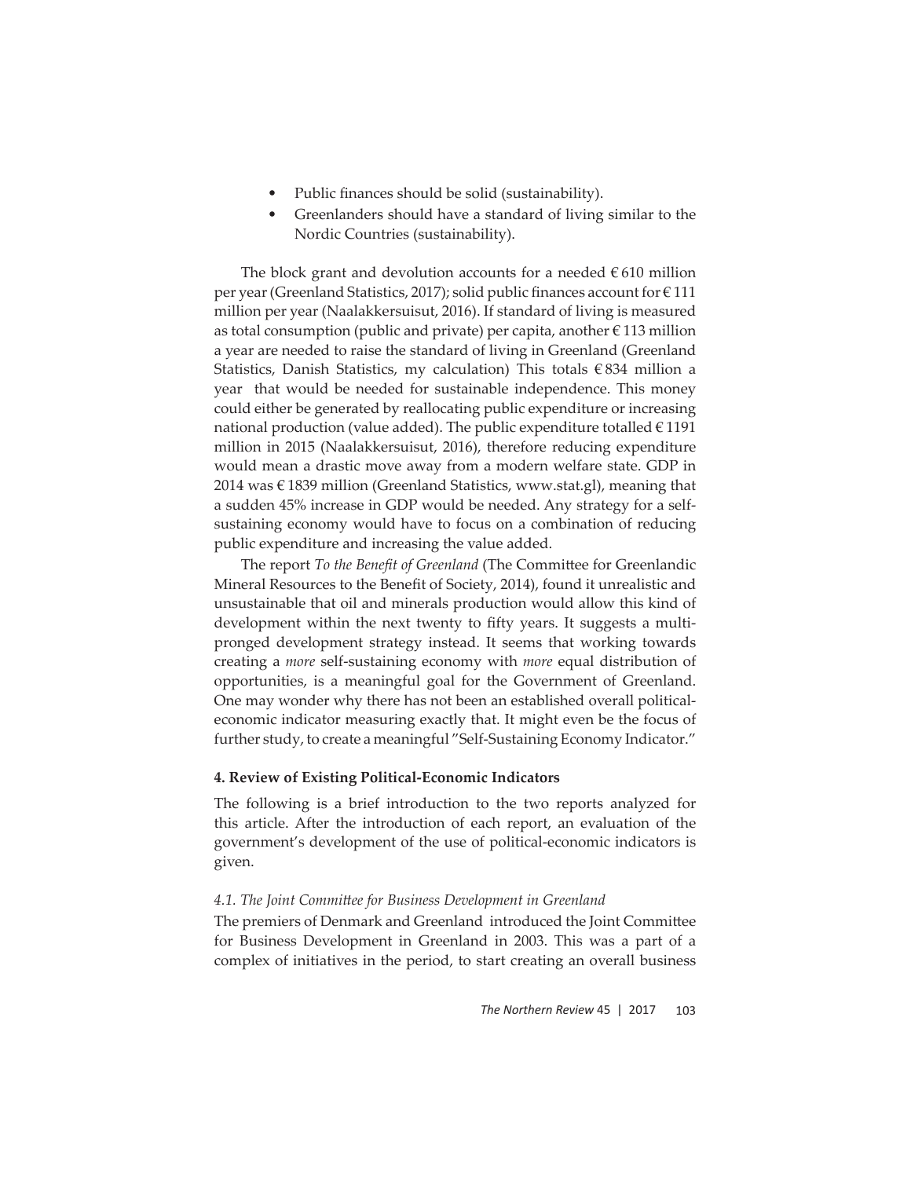- Public finances should be solid (sustainability).
- Greenlanders should have a standard of living similar to the Nordic Countries (sustainability).

The block grant and devolution accounts for a needed  $\epsilon$  610 million per year (Greenland Statistics, 2017); solid public finances account for  $\epsilon$  111 million per year (Naalakkersuisut, 2016). If standard of living is measured as total consumption (public and private) per capita, another  $\epsilon$  113 million a year are needed to raise the standard of living in Greenland (Greenland Statistics, Danish Statistics, my calculation) This totals  $\epsilon$ 834 million a year that would be needed for sustainable independence. This money could either be generated by reallocating public expenditure or increasing national production (value added). The public expenditure totalled  $\epsilon$  1191 million in 2015 (Naalakkersuisut, 2016), therefore reducing expenditure would mean a drastic move away from a modern welfare state. GDP in 2014 was  $\in$  1839 million (Greenland Statistics, www.stat.gl), meaning that a sudden 45% increase in GDP would be needed. Any strategy for a selfsustaining economy would have to focus on a combination of reducing public expenditure and increasing the value added.

The report *To the Benefit of Greenland* (The Committee for Greenlandic Mineral Resources to the Benefit of Society, 2014), found it unrealistic and unsustainable that oil and minerals production would allow this kind of development within the next twenty to fifty years. It suggests a multipronged development strategy instead. It seems that working towards creating a *more* self-sustaining economy with *more* equal distribution of opportunities, is a meaningful goal for the Government of Greenland. One may wonder why there has not been an established overall politicaleconomic indicator measuring exactly that. It might even be the focus of further study, to create a meaningful "Self-Sustaining Economy Indicator."

# **4. Review of Existing Political-Economic Indicators**

The following is a brief introduction to the two reports analyzed for this article. After the introduction of each report, an evaluation of the government's development of the use of political-economic indicators is given.

# **4.1. The Joint Committee for Business Development in Greenland**

The premiers of Denmark and Greenland introduced the Joint Committee for Business Development in Greenland in 2003. This was a part of a complex of initiatives in the period, to start creating an overall business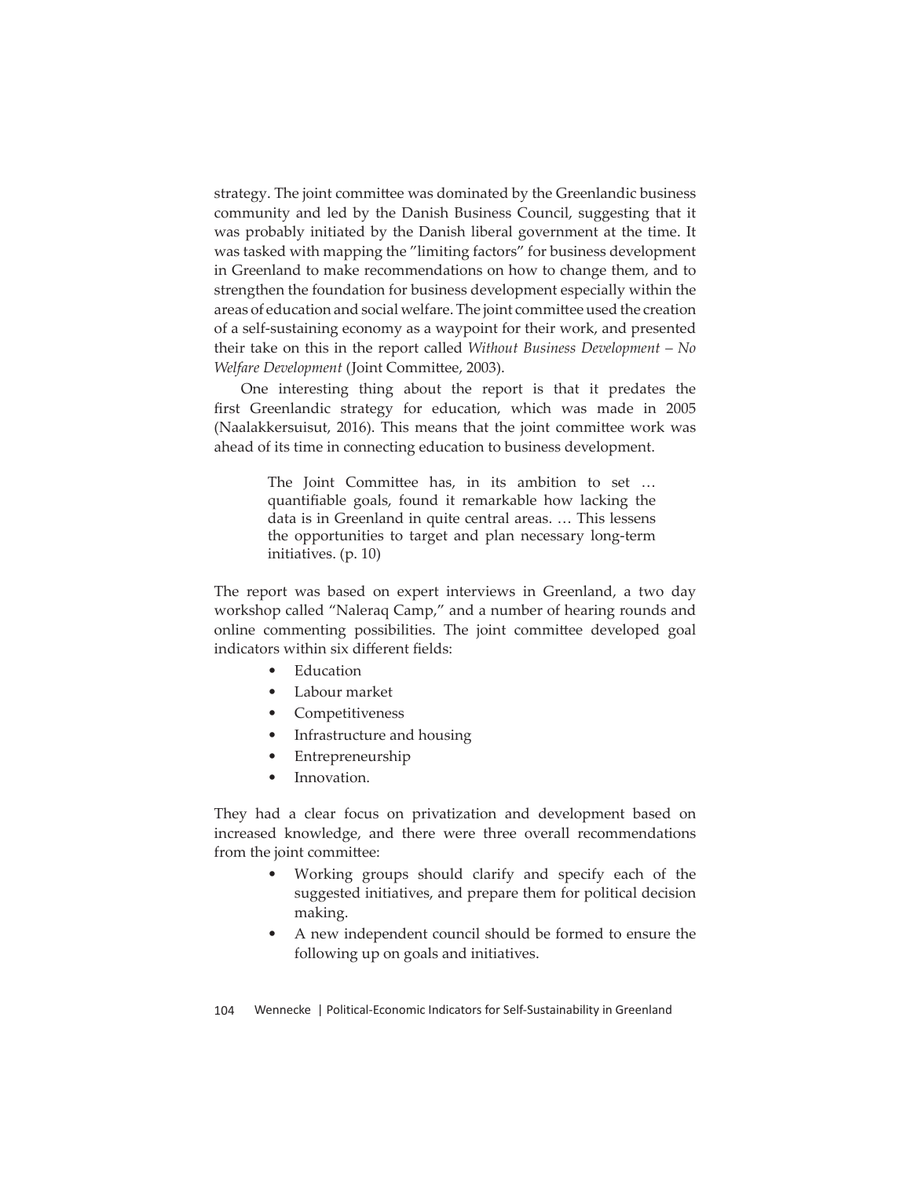strategy. The joint committee was dominated by the Greenlandic business community and led by the Danish Business Council, suggesting that it was probably initiated by the Danish liberal government at the time. It was tasked with mapping the "limiting factors" for business development in Greenland to make recommendations on how to change them, and to strengthen the foundation for business development especially within the areas of education and social welfare. The joint committee used the creation of a self-sustaining economy as a waypoint for their work, and presented their take on this in the report called *Without Business Development – No*  Welfare Development (Joint Committee, 2003).

One interesting thing about the report is that it predates the first Greenlandic strategy for education, which was made in 2005 (Naalakkersuisut, 2016). This means that the joint committee work was ahead of its time in connecting education to business development.

> The Joint Committee has, in its ambition to set ... quantifiable goals, found it remarkable how lacking the data is in Greenland in quite central areas. … This lessens the opportunities to target and plan necessary long-term initiatives. (p. 10)

The report was based on expert interviews in Greenland, a two day workshop called "Naleraq Camp," and a number of hearing rounds and online commenting possibilities. The joint committee developed goal indicators within six different fields:

- **Education**
- Labour market
- **Competitiveness**
- Infrastructure and housing
- Entrepreneurship
- Innovation.

They had a clear focus on privatization and development based on increased knowledge, and there were three overall recommendations from the joint committee:

- Working groups should clarify and specify each of the suggested initiatives, and prepare them for political decision making.
- A new independent council should be formed to ensure the following up on goals and initiatives.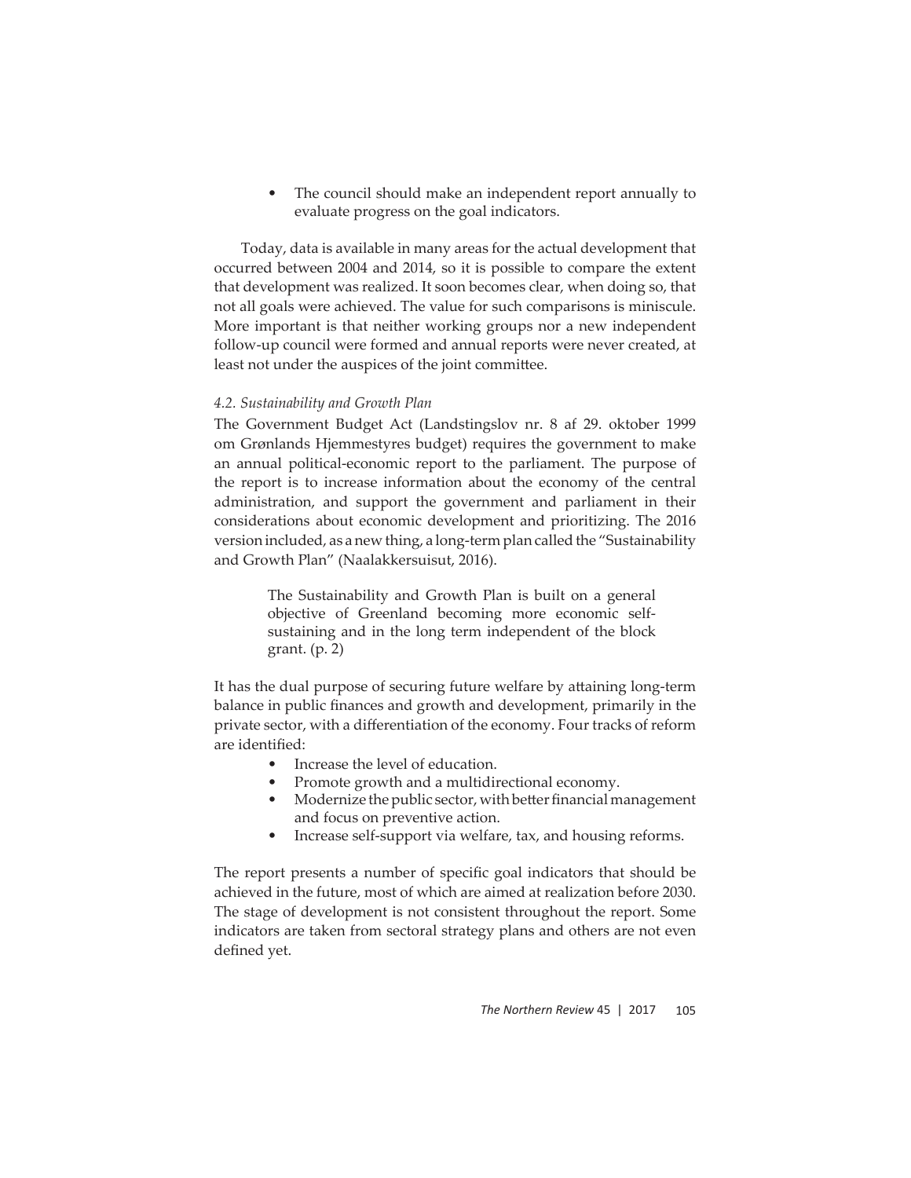The council should make an independent report annually to evaluate progress on the goal indicators.

Today, data is available in many areas for the actual development that occurred between 2004 and 2014, so it is possible to compare the extent that development was realized. It soon becomes clear, when doing so, that not all goals were achieved. The value for such comparisons is miniscule. More important is that neither working groups nor a new independent follow-up council were formed and annual reports were never created, at least not under the auspices of the joint committee.

### *4.2. Sustainability and Growth Plan*

The Government Budget Act (Landstingslov nr. 8 af 29. oktober 1999 om Grønlands Hjemmestyres budget) requires the government to make an annual political-economic report to the parliament. The purpose of the report is to increase information about the economy of the central administration, and support the government and parliament in their considerations about economic development and prioritizing. The 2016 version included, as a new thing, a long-term plan called the "Sustainability and Growth Plan" (Naalakkersuisut, 2016).

> The Sustainability and Growth Plan is built on a general objective of Greenland becoming more economic selfsustaining and in the long term independent of the block grant. (p. 2)

It has the dual purpose of securing future welfare by attaining long-term balance in public finances and growth and development, primarily in the private sector, with a differentiation of the economy. Four tracks of reform are identified:

- Increase the level of education.
- Promote growth and a multidirectional economy.
- Modernize the public sector, with better financial management and focus on preventive action.
- Increase self-support via welfare, tax, and housing reforms.

The report presents a number of specific goal indicators that should be achieved in the future, most of which are aimed at realization before 2030. The stage of development is not consistent throughout the report. Some indicators are taken from sectoral strategy plans and others are not even defined yet.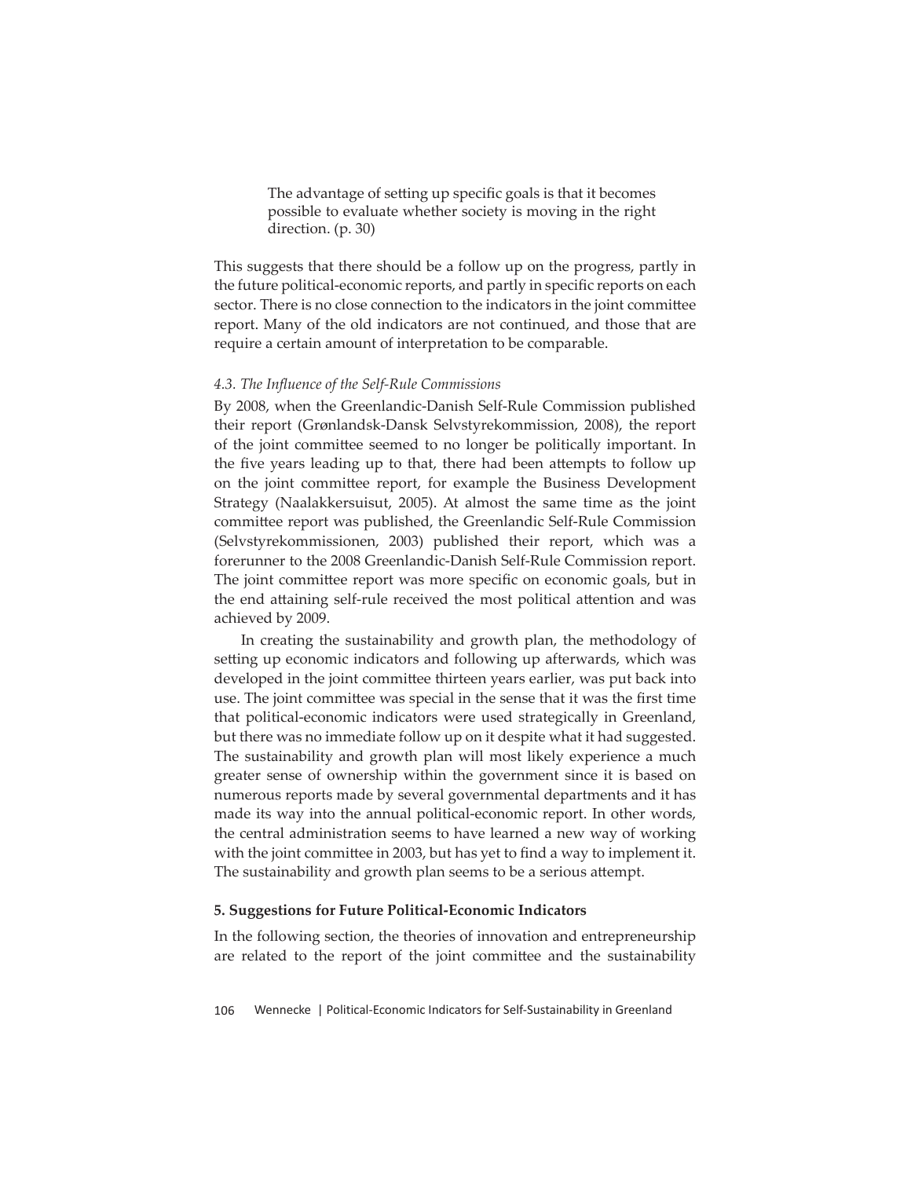The advantage of setting up specific goals is that it becomes possible to evaluate whether society is moving in the right direction. (p. 30)

This suggests that there should be a follow up on the progress, partly in the future political-economic reports, and partly in specific reports on each sector. There is no close connection to the indicators in the joint committee report. Many of the old indicators are not continued, and those that are require a certain amount of interpretation to be comparable.

## *4.3. The Infl uence of the Self-Rule Commissions*

By 2008, when the Greenlandic-Danish Self-Rule Commission published their report (Grønlandsk-Dansk Selvstyrekommission, 2008), the report of the joint committ ee seemed to no longer be politically important. In the five years leading up to that, there had been attempts to follow up on the joint committee report, for example the Business Development Strategy (Naalakkersuisut, 2005). At almost the same time as the joint committee report was published, the Greenlandic Self-Rule Commission (Selvstyrekommissionen, 2003) published their report, which was a forerunner to the 2008 Greenlandic-Danish Self-Rule Commission report. The joint committee report was more specific on economic goals, but in the end attaining self-rule received the most political attention and was achieved by 2009.

In creating the sustainability and growth plan, the methodology of setting up economic indicators and following up afterwards, which was developed in the joint committee thirteen years earlier, was put back into use. The joint committee was special in the sense that it was the first time that political-economic indicators were used strategically in Greenland, but there was no immediate follow up on it despite what it had suggested. The sustainability and growth plan will most likely experience a much greater sense of ownership within the government since it is based on numerous reports made by several governmental departments and it has made its way into the annual political-economic report. In other words, the central administration seems to have learned a new way of working with the joint committee in 2003, but has yet to find a way to implement it. The sustainability and growth plan seems to be a serious attempt.

#### **5. Suggestions for Future Political-Economic Indicators**

In the following section, the theories of innovation and entrepreneurship are related to the report of the joint committee and the sustainability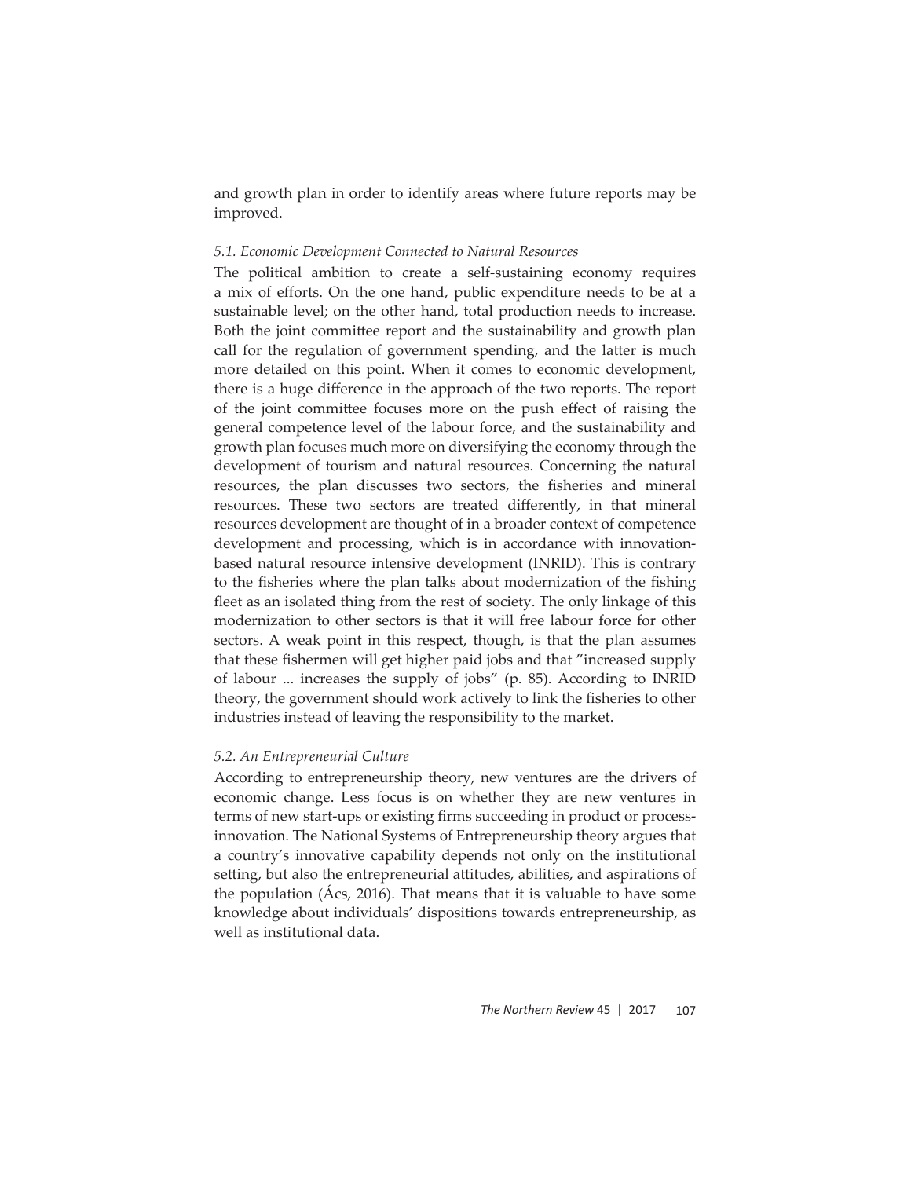and growth plan in order to identify areas where future reports may be improved.

# *5.1. Economic Development Connected to Natural Resources*

The political ambition to create a self-sustaining economy requires a mix of efforts. On the one hand, public expenditure needs to be at a sustainable level; on the other hand, total production needs to increase. Both the joint committee report and the sustainability and growth plan call for the regulation of government spending, and the latter is much more detailed on this point. When it comes to economic development, there is a huge difference in the approach of the two reports. The report of the joint committee focuses more on the push effect of raising the general competence level of the labour force, and the sustainability and growth plan focuses much more on diversifying the economy through the development of tourism and natural resources. Concerning the natural resources, the plan discusses two sectors, the fisheries and mineral resources. These two sectors are treated differently, in that mineral resources development are thought of in a broader context of competence development and processing, which is in accordance with innovationbased natural resource intensive development (INRID). This is contrary to the fisheries where the plan talks about modernization of the fishing fleet as an isolated thing from the rest of society. The only linkage of this modernization to other sectors is that it will free labour force for other sectors. A weak point in this respect, though, is that the plan assumes that these fishermen will get higher paid jobs and that "increased supply of labour ... increases the supply of jobs" (p. 85). According to INRID theory, the government should work actively to link the fisheries to other industries instead of leaving the responsibility to the market.

#### *5.2. An Entrepreneurial Culture*

According to entrepreneurship theory, new ventures are the drivers of economic change. Less focus is on whether they are new ventures in terms of new start-ups or existing firms succeeding in product or processinnovation. The National Systems of Entrepreneurship theory argues that a country's innovative capability depends not only on the institutional setting, but also the entrepreneurial attitudes, abilities, and aspirations of the population (Ács, 2016). That means that it is valuable to have some knowledge about individuals' dispositions towards entrepreneurship, as well as institutional data.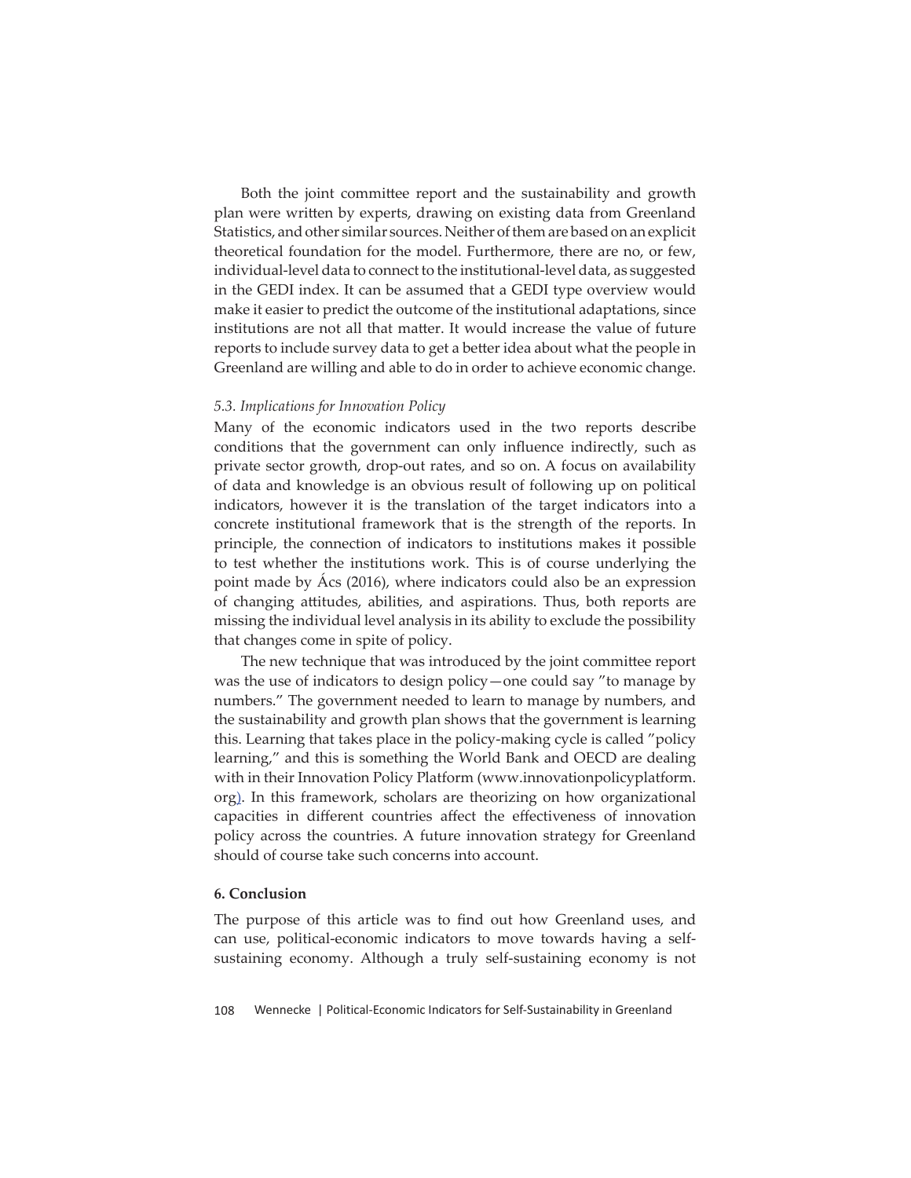Both the joint committee report and the sustainability and growth plan were written by experts, drawing on existing data from Greenland Statistics, and other similar sources. Neither of them are based on an explicit theoretical foundation for the model. Furthermore, there are no, or few, individual-level data to connect to the institutional-level data, as suggested in the GEDI index. It can be assumed that a GEDI type overview would make it easier to predict the outcome of the institutional adaptations, since institutions are not all that matter. It would increase the value of future reports to include survey data to get a better idea about what the people in Greenland are willing and able to do in order to achieve economic change.

#### *5.3. Implications for Innovation Policy*

Many of the economic indicators used in the two reports describe conditions that the government can only influence indirectly, such as private sector growth, drop-out rates, and so on. A focus on availability of data and knowledge is an obvious result of following up on political indicators, however it is the translation of the target indicators into a concrete institutional framework that is the strength of the reports. In principle, the connection of indicators to institutions makes it possible to test whether the institutions work. This is of course underlying the point made by Ács (2016), where indicators could also be an expression of changing attitudes, abilities, and aspirations. Thus, both reports are missing the individual level analysis in its ability to exclude the possibility that changes come in spite of policy.

The new technique that was introduced by the joint committee report was the use of indicators to design policy—one could say "to manage by numbers." The government needed to learn to manage by numbers, and the sustainability and growth plan shows that the government is learning this. Learning that takes place in the policy-making cycle is called "policy learning," and this is something the World Bank and OECD are dealing with in their Innovation Policy Platform (www.innovationpolicyplatform. org). In this framework, scholars are theorizing on how organizational capacities in different countries affect the effectiveness of innovation policy across the countries. A future innovation strategy for Greenland should of course take such concerns into account.

#### **6. Conclusion**

The purpose of this article was to find out how Greenland uses, and can use, political-economic indicators to move towards having a selfsustaining economy. Although a truly self-sustaining economy is not

108 Wennecke | Political-Economic Indicators for Self-Sustainability in Greenland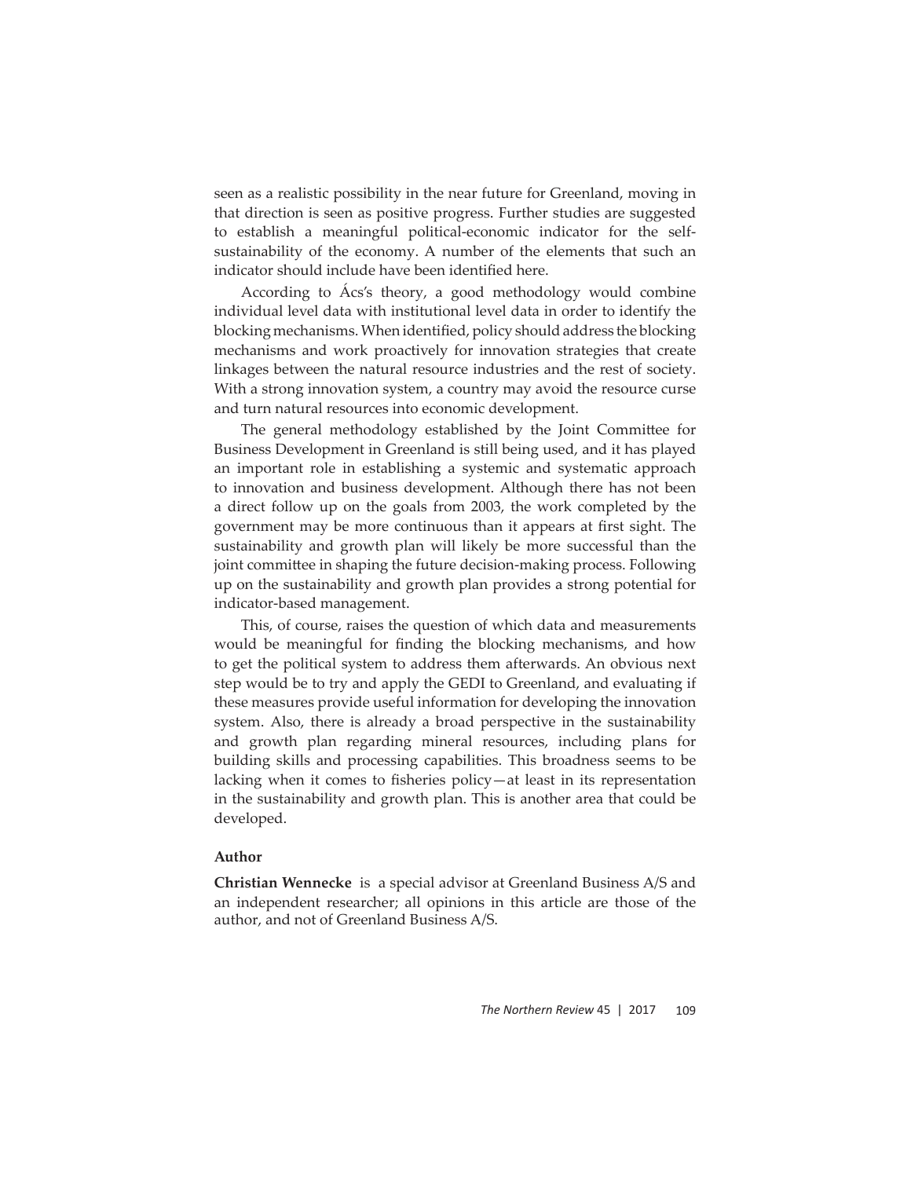seen as a realistic possibility in the near future for Greenland, moving in that direction is seen as positive progress. Further studies are suggested to establish a meaningful political-economic indicator for the selfsustainability of the economy. A number of the elements that such an indicator should include have been identified here.

According to Ács's theory, a good methodology would combine individual level data with institutional level data in order to identify the blocking mechanisms. When identified, policy should address the blocking mechanisms and work proactively for innovation strategies that create linkages between the natural resource industries and the rest of society. With a strong innovation system, a country may avoid the resource curse and turn natural resources into economic development.

The general methodology established by the Joint Committee for Business Development in Greenland is still being used, and it has played an important role in establishing a systemic and systematic approach to innovation and business development. Although there has not been a direct follow up on the goals from 2003, the work completed by the government may be more continuous than it appears at first sight. The sustainability and growth plan will likely be more successful than the joint committee in shaping the future decision-making process. Following up on the sustainability and growth plan provides a strong potential for indicator-based management.

This, of course, raises the question of which data and measurements would be meaningful for finding the blocking mechanisms, and how to get the political system to address them afterwards. An obvious next step would be to try and apply the GEDI to Greenland, and evaluating if these measures provide useful information for developing the innovation system. Also, there is already a broad perspective in the sustainability and growth plan regarding mineral resources, including plans for building skills and processing capabilities. This broadness seems to be lacking when it comes to fisheries policy—at least in its representation in the sustainability and growth plan. This is another area that could be developed.

# **Author**

**Christian Wennecke** is a special advisor at Greenland Business A/S and an independent researcher; all opinions in this article are those of the author, and not of Greenland Business A/S.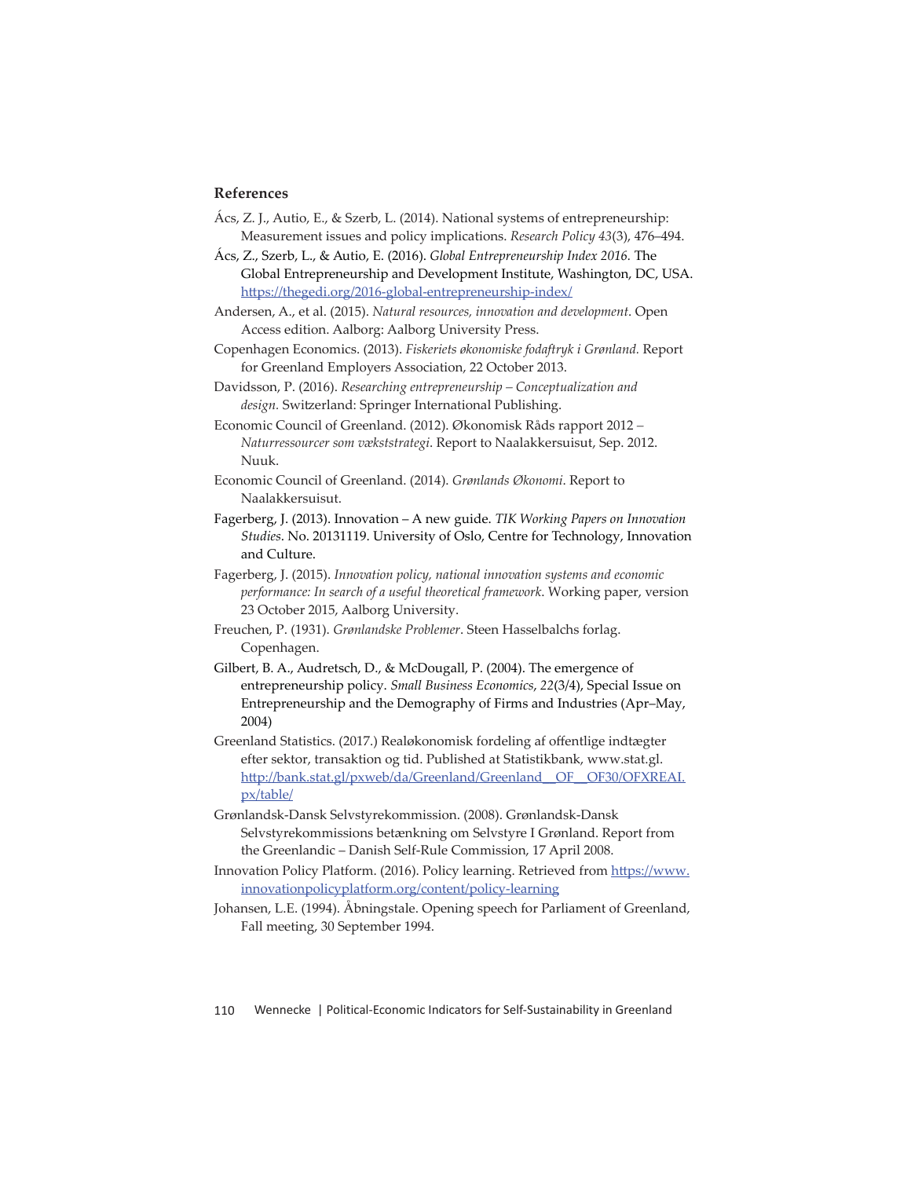## **References**

Ács, Z. J., Autio, E., & Szerb, L. (2014). National systems of entrepreneurship: Measurement issues and policy implications. *Research Policy 43*(3), 476–494.

Ács, Z., Szerb, L., & Autio, E. (2016). *Global Entrepreneurship Index 2016.* The Global Entrepreneurship and Development Institute, Washington, DC, USA. https://thegedi.org/2016-global-entrepreneurship-index/

Andersen, A., et al. (2015). *Natural resources, innovation and development*. Open Access edition. Aalborg: Aalborg University Press.

Copenhagen Economics. (2013). *Fiskeriets økonomiske fodaftryk i Grønland.* Report for Greenland Employers Association, 22 October 2013.

Davidsson, P. (2016). *Researching entrepreneurship – Conceptualization and*  design. Switzerland: Springer International Publishing.

Economic Council of Greenland. (2012). Økonomisk Råds rapport 2012 *– Naturressourcer som vækststrategi*. Report to Naalakkersuisut, Sep. 2012. Nuuk.

- Economic Council of Greenland. (2014). *Grønlands Økonomi*. Report to Naalakkersuisut.
- Fagerberg, J. (2013). Innovation A new guide. *TIK Working Papers on Innovation Studies*. No. 20131119. University of Oslo, Centre for Technology, Innovation and Culture.
- Fagerberg, J. (2015). *Innovation policy, national innovation systems and economic performance: In search of a useful theoretical framework*. Working paper, version 23 October 2015, Aalborg University.
- Freuchen, P. (1931). *Grønlandske Problemer*. Steen Hasselbalchs forlag. Copenhagen.

Gilbert, B. A., Audretsch, D., & McDougall, P. (2004). The emergence of entrepreneurship policy. *Small Business Economics*, *22*(3/4), Special Issue on Entrepreneurship and the Demography of Firms and Industries (Apr–May, 2004)

Greenland Statistics. (2017.) Realøkonomisk fordeling af offentlige indtægter efter sektor, transaktion og tid. Published at Statistikbank, www.stat.gl. http://bank.stat.gl/pxweb/da/Greenland/Greenland\_OF\_OF30/OFXREAI. px/table/

Grønlandsk-Dansk Selvstyrekommission. (2008). Grønlandsk-Dansk Selvstyrekommissions betænkning om Selvstyre I Grønland. Report from the Greenlandic – Danish Self-Rule Commission, 17 April 2008.

Innovation Policy Platform. (2016). Policy learning. Retrieved from https://www. innovationpolicyplatform.org/content/policy-learning

Johansen, L.E. (1994). Åbningstale. Opening speech for Parliament of Greenland, Fall meeting, 30 September 1994.

110 Wennecke | Political-Economic Indicators for Self-Sustainability in Greenland